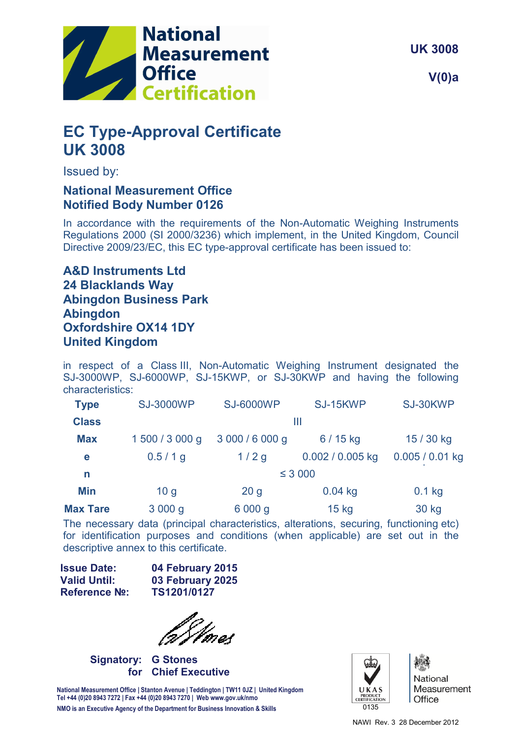

**UK 3008**

**V(0)a**

# **EC Type-Approval Certificate UK 3008**

Issued by:

# **National Measurement Office Notified Body Number 0126**

In accordance with the requirements of the Non-Automatic Weighing Instruments Regulations 2000 (SI 2000/3236) which implement, in the United Kingdom, Council Directive 2009/23/EC, this EC type-approval certificate has been issued to:

# **A&D Instruments Ltd 24 Blacklands Way Abingdon Business Park Abingdon Oxfordshire OX14 1DY United Kingdom**

in respect of a Class III, Non-Automatic Weighing Instrument designated the SJ-3000WP, SJ-6000WP, SJ-15KWP, or SJ-30KWP and having the following characteristics:

| <b>Type</b>     | <b>SJ-3000WP</b> | <b>SJ-6000WP</b> | SJ-15KWP         | SJ-30KWP          |  |
|-----------------|------------------|------------------|------------------|-------------------|--|
| <b>Class</b>    |                  |                  | Ш                |                   |  |
| <b>Max</b>      | 1 500 / 3 000 g  | 3 000 / 6 000 g  | $6/15$ kg        | 15 / 30 kg        |  |
| е               | $0.5/1$ g        | 1/2g             | 0.002 / 0.005 kg | $0.005 / 0.01$ kg |  |
| n               | $\leq$ 3 000     |                  |                  |                   |  |
| Min             | 10 <sub>g</sub>  | 20 <sub>g</sub>  | $0.04$ kg        | $0.1$ kg          |  |
| <b>Max Tare</b> | 3 000 g          | 6 000 g          | $15$ kg          | 30 kg             |  |

The necessary data (principal characteristics, alterations, securing, functioning etc) for identification purposes and conditions (when applicable) are set out in the descriptive annex to this certificate.

| 04 February 2015 |
|------------------|
| 03 February 2025 |
| TS1201/0127      |
|                  |

**Signatory: G Stones for Chief Executive** 

**National Measurement Office | Stanton Avenue | Teddington | TW11 0JZ | United Kingdom Tel +44 (0)20 8943 7272 | Fax +44 (0)20 8943 7270 | Web www.gov.uk/nmo NMO is an Executive Agency of the Department for Business Innovation & Skills**



National Measurement Office

NAWI Rev. 3 28 December 2012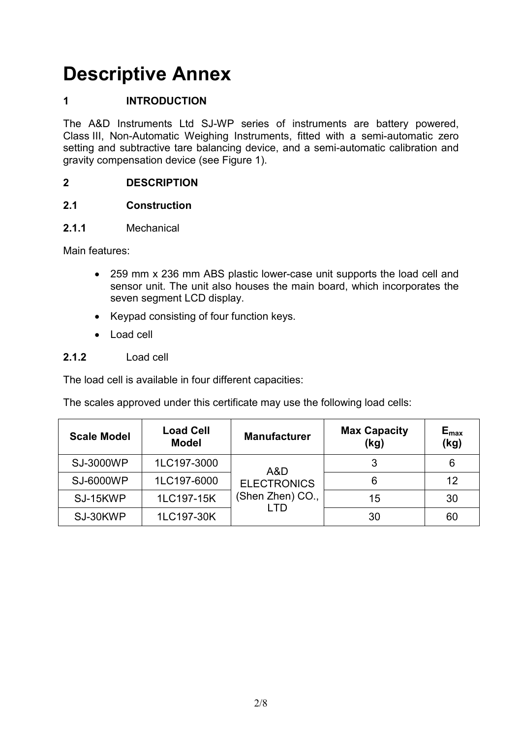# **Descriptive Annex**

# **1 INTRODUCTION**

The A&D Instruments Ltd SJ-WP series of instruments are battery powered, Class III, Non-Automatic Weighing Instruments, fitted with a semi-automatic zero setting and subtractive tare balancing device, and a semi-automatic calibration and gravity compensation device (see Figure 1).

#### **2 DESCRIPTION**

#### **2.1 Construction**

#### **2.1.1** Mechanical

Main features:

- 259 mm x 236 mm ABS plastic lower-case unit supports the load cell and sensor unit. The unit also houses the main board, which incorporates the seven segment LCD display.
- Keypad consisting of four function keys.
- Load cell

#### **2.1.2** Load cell

The load cell is available in four different capacities:

The scales approved under this certificate may use the following load cells:

| <b>Scale Model</b> | <b>Load Cell</b><br><b>Model</b> | <b>Manufacturer</b>                    | <b>Max Capacity</b><br>(kg) | $E_{max}$<br>(kg) |
|--------------------|----------------------------------|----------------------------------------|-----------------------------|-------------------|
| <b>SJ-3000WP</b>   | 1LC197-3000                      | A&D                                    |                             | 6                 |
| <b>SJ-6000WP</b>   | 1LC197-6000                      | <b>ELECTRONICS</b><br>(Shen Zhen) CO., | 6                           | 12                |
| SJ-15KWP           | 1LC197-15K                       |                                        | 15                          | 30                |
| SJ-30KWP           | 1LC197-30K                       | חד ו                                   | 30                          | 60                |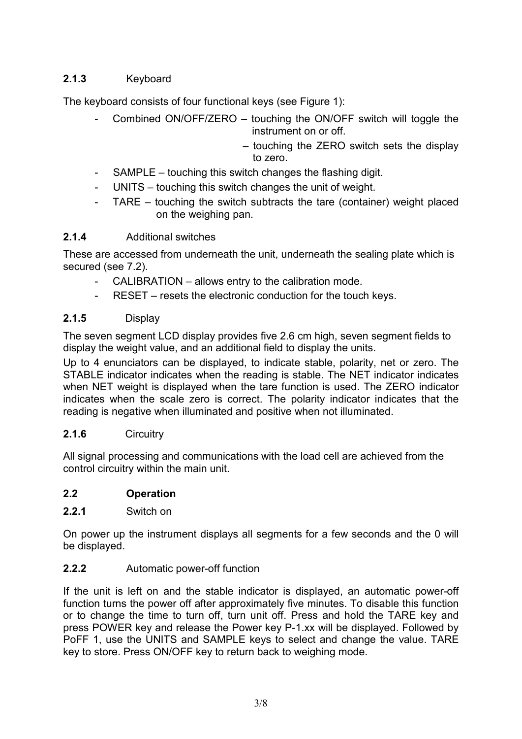# **2.1.3** Keyboard

The keyboard consists of four functional keys (see Figure 1):

- Combined ON/OFF/ZERO touching the ON/OFF switch will toggle the instrument on or off.
	- touching the ZERO switch sets the display to zero.
- SAMPLE touching this switch changes the flashing digit.
- UNITS touching this switch changes the unit of weight.
- TARE  $-$  touching the switch subtracts the tare (container) weight placed on the weighing pan.

#### **2.1.4** Additional switches

These are accessed from underneath the unit, underneath the sealing plate which is secured (see 7.2).

- CALIBRATION allows entry to the calibration mode.
- RESET resets the electronic conduction for the touch keys.

#### **2.1.5** Display

The seven segment LCD display provides five 2.6 cm high, seven segment fields to display the weight value, and an additional field to display the units.

Up to 4 enunciators can be displayed, to indicate stable, polarity, net or zero. The STABLE indicator indicates when the reading is stable. The NET indicator indicates when NET weight is displayed when the tare function is used. The ZERO indicator indicates when the scale zero is correct. The polarity indicator indicates that the reading is negative when illuminated and positive when not illuminated.

#### **2.1.6** Circuitry

All signal processing and communications with the load cell are achieved from the control circuitry within the main unit.

### **2.2 Operation**

**2.2.1** Switch on

On power up the instrument displays all segments for a few seconds and the 0 will be displayed.

#### **2.2.2** Automatic power-off function

If the unit is left on and the stable indicator is displayed, an automatic power-off function turns the power off after approximately five minutes. To disable this function or to change the time to turn off, turn unit off. Press and hold the TARE key and press POWER key and release the Power key P-1.xx will be displayed. Followed by PoFF 1, use the UNITS and SAMPLE keys to select and change the value. TARE key to store. Press ON/OFF key to return back to weighing mode.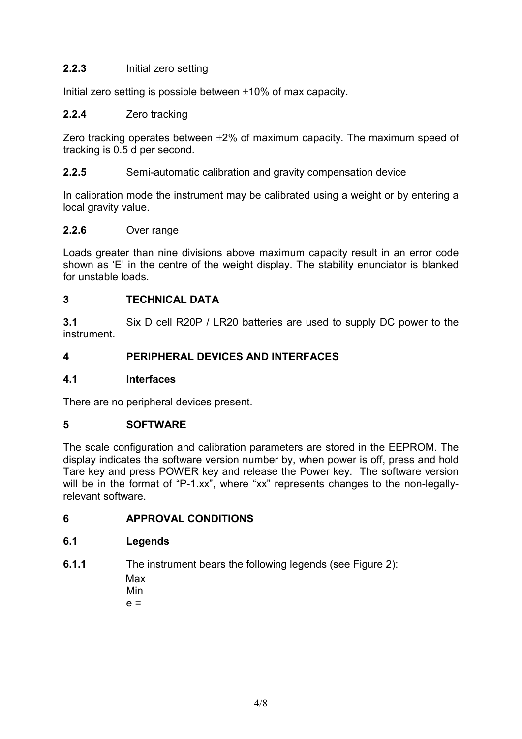#### **2.2.3** Initial zero setting

Initial zero setting is possible between  $\pm 10\%$  of max capacity.

#### **2.2.4** Zero tracking

Zero tracking operates between  $\pm 2\%$  of maximum capacity. The maximum speed of tracking is 0.5 d per second.

#### **2.2.5** Semi-automatic calibration and gravity compensation device

In calibration mode the instrument may be calibrated using a weight or by entering a local gravity value.

#### **2.2.6** Over range

Loads greater than nine divisions above maximum capacity result in an error code shown as 'E' in the centre of the weight display. The stability enunciator is blanked for unstable loads.

#### **3 TECHNICAL DATA**

**3.1** Six D cell R20P / LR20 batteries are used to supply DC power to the instrument.

#### **4 PERIPHERAL DEVICES AND INTERFACES**

#### **4.1 Interfaces**

There are no peripheral devices present.

#### **5 SOFTWARE**

The scale configuration and calibration parameters are stored in the EEPROM. The display indicates the software version number by, when power is off, press and hold Tare key and press POWER key and release the Power key. The software version will be in the format of "P-1.xx", where "xx" represents changes to the non-legallyrelevant software.

#### **6 APPROVAL CONDITIONS**

#### **6.1 Legends**

**6.1.1** The instrument bears the following legends (see Figure 2): Max Min

 $e =$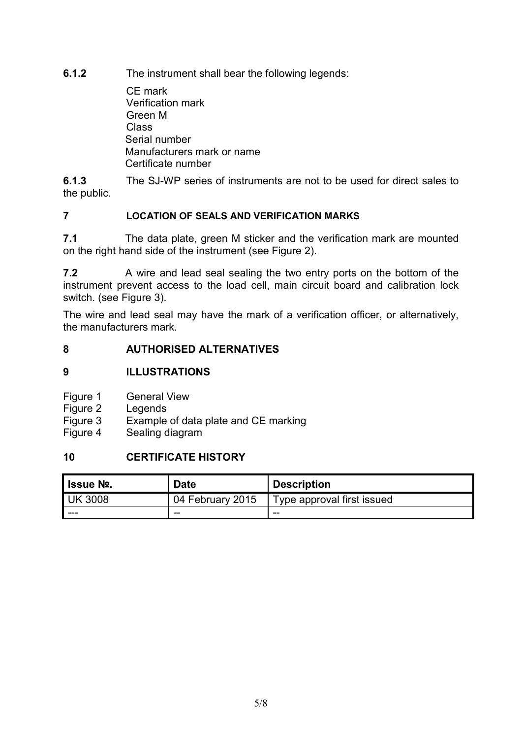**6.1.2** The instrument shall bear the following legends:

 CE mark Verification mark Green M Class Serial number Manufacturers mark or name Certificate number

**6.1.3** The SJ-WP series of instruments are not to be used for direct sales to the public.

#### **7 LOCATION OF SEALS AND VERIFICATION MARKS**

**7.1** The data plate, green M sticker and the verification mark are mounted on the right hand side of the instrument (see Figure 2).

**7.2** A wire and lead seal sealing the two entry ports on the bottom of the instrument prevent access to the load cell, main circuit board and calibration lock switch. (see Figure 3).

The wire and lead seal may have the mark of a verification officer, or alternatively, the manufacturers mark.

#### **8 AUTHORISED ALTERNATIVES**

#### **9 ILLUSTRATIONS**

- Figure 1 General View<br>Figure 2 Legends
- Legends
- Figure 3 Example of data plate and CE marking
- Figure 4 Sealing diagram

#### **10 CERTIFICATE HISTORY**

| ' Issue №.     | Date             | <b>Description</b>         |
|----------------|------------------|----------------------------|
| <b>UK 3008</b> | 04 February 2015 | Type approval first issued |
| ---            | --               | --                         |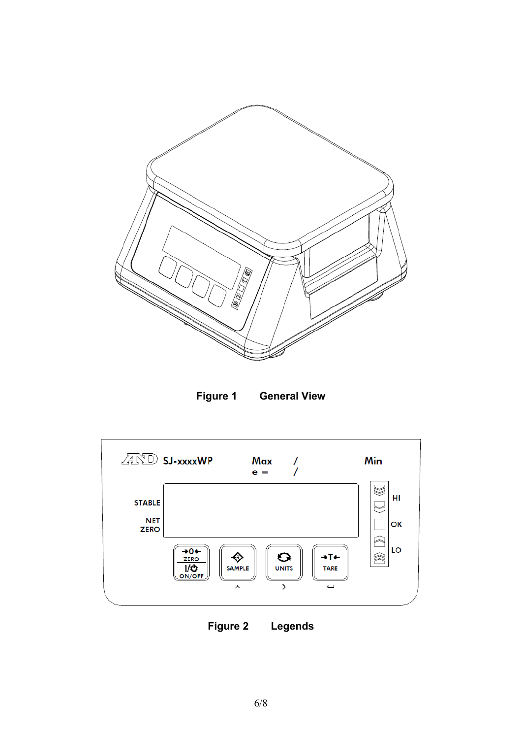





**Figure 2 Legends**